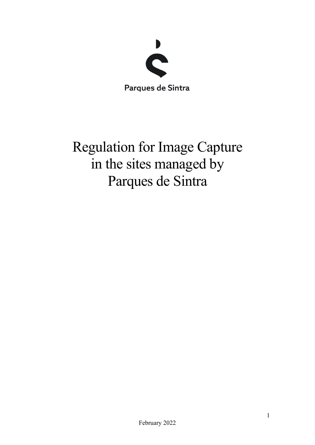

Regulation for Image Capture in the sites managed by Parques de Sintra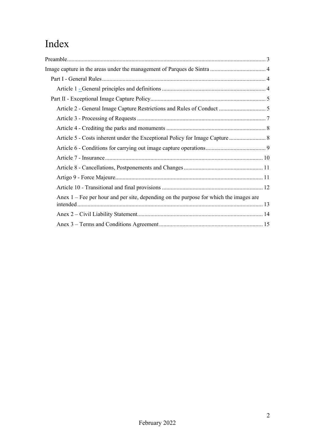# Index

| Anex 1 – Fee per hour and per site, depending on the purpose for which the images are |
|---------------------------------------------------------------------------------------|
|                                                                                       |
|                                                                                       |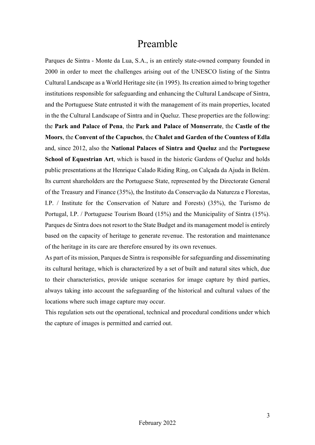# Preamble

Parques de Sintra - Monte da Lua, S.A., is an entirely state-owned company founded in 2000 in order to meet the challenges arising out of the UNESCO listing of the Sintra Cultural Landscape as a World Heritage site (in 1995). Its creation aimed to bring together institutions responsible for safeguarding and enhancing the Cultural Landscape of Sintra, and the Portuguese State entrusted it with the management of its main properties, located in the the Cultural Landscape of Sintra and in Queluz. These properties are the following: the Park and Palace of Pena, the Park and Palace of Monserrate, the Castle of the Moors, the Convent of the Capuchos, the Chalet and Garden of the Countess of Edla and, since 2012, also the National Palaces of Sintra and Queluz and the Portuguese School of Equestrian Art, which is based in the historic Gardens of Queluz and holds public presentations at the Henrique Calado Riding Ring, on Calçada da Ajuda in Belém. Its current shareholders are the Portuguese State, represented by the Directorate General of the Treasury and Finance (35%), the Instituto da Conservação da Natureza e Florestas, I.P. / Institute for the Conservation of Nature and Forests) (35%), the Turismo de Portugal, I.P. / Portuguese Tourism Board (15%) and the Municipality of Sintra (15%). Parques de Sintra does not resort to the State Budget and its management model is entirely based on the capacity of heritage to generate revenue. The restoration and maintenance of the heritage in its care are therefore ensured by its own revenues.

As part of its mission, Parques de Sintra is responsible for safeguarding and disseminating its cultural heritage, which is characterized by a set of built and natural sites which, due to their characteristics, provide unique scenarios for image capture by third parties, always taking into account the safeguarding of the historical and cultural values of the locations where such image capture may occur.

This regulation sets out the operational, technical and procedural conditions under which the capture of images is permitted and carried out.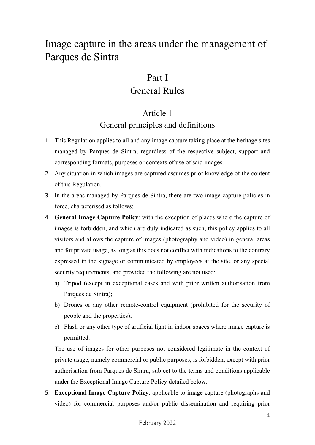# Image capture in the areas under the management of Parques de Sintra

## Part I

## General Rules

## Article 1

## General principles and definitions

- 1. This Regulation applies to all and any image capture taking place at the heritage sites managed by Parques de Sintra, regardless of the respective subject, support and corresponding formats, purposes or contexts of use of said images.
- 2. Any situation in which images are captured assumes prior knowledge of the content of this Regulation.
- 3. In the areas managed by Parques de Sintra, there are two image capture policies in force, characterised as follows:
- 4. General Image Capture Policy: with the exception of places where the capture of images is forbidden, and which are duly indicated as such, this policy applies to all visitors and allows the capture of images (photography and video) in general areas and for private usage, as long as this does not conflict with indications to the contrary expressed in the signage or communicated by employees at the site, or any special security requirements, and provided the following are not used:
	- a) Tripod (except in exceptional cases and with prior written authorisation from Parques de Sintra);
	- b) Drones or any other remote-control equipment (prohibited for the security of people and the properties);
	- c) Flash or any other type of artificial light in indoor spaces where image capture is permitted.

The use of images for other purposes not considered legitimate in the context of private usage, namely commercial or public purposes, is forbidden, except with prior authorisation from Parques de Sintra, subject to the terms and conditions applicable under the Exceptional Image Capture Policy detailed below.

5. Exceptional Image Capture Policy: applicable to image capture (photographs and video) for commercial purposes and/or public dissemination and requiring prior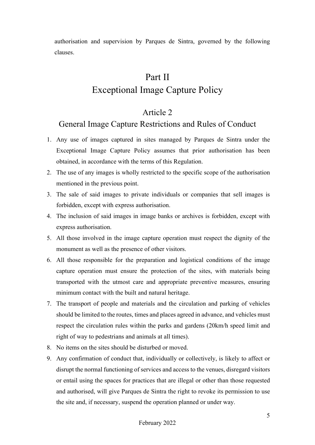authorisation and supervision by Parques de Sintra, governed by the following clauses.

## Part II

## Exceptional Image Capture Policy

#### Article 2

## General Image Capture Restrictions and Rules of Conduct

- 1. Any use of images captured in sites managed by Parques de Sintra under the Exceptional Image Capture Policy assumes that prior authorisation has been obtained, in accordance with the terms of this Regulation.
- 2. The use of any images is wholly restricted to the specific scope of the authorisation mentioned in the previous point.
- 3. The sale of said images to private individuals or companies that sell images is forbidden, except with express authorisation.
- 4. The inclusion of said images in image banks or archives is forbidden, except with express authorisation.
- 5. All those involved in the image capture operation must respect the dignity of the monument as well as the presence of other visitors.
- 6. All those responsible for the preparation and logistical conditions of the image capture operation must ensure the protection of the sites, with materials being transported with the utmost care and appropriate preventive measures, ensuring minimum contact with the built and natural heritage.
- 7. The transport of people and materials and the circulation and parking of vehicles should be limited to the routes, times and places agreed in advance, and vehicles must respect the circulation rules within the parks and gardens (20km/h speed limit and right of way to pedestrians and animals at all times).
- 8. No items on the sites should be disturbed or moved.
- 9. Any confirmation of conduct that, individually or collectively, is likely to affect or disrupt the normal functioning of services and access to the venues, disregard visitors or entail using the spaces for practices that are illegal or other than those requested and authorised, will give Parques de Sintra the right to revoke its permission to use the site and, if necessary, suspend the operation planned or under way.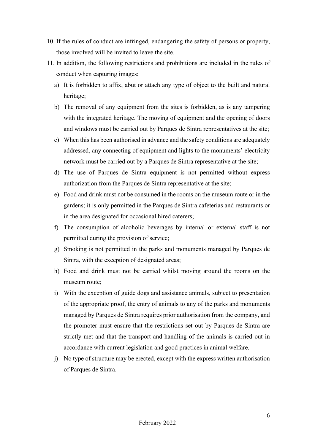- 10. If the rules of conduct are infringed, endangering the safety of persons or property, those involved will be invited to leave the site.
- 11. In addition, the following restrictions and prohibitions are included in the rules of conduct when capturing images:
	- a) It is forbidden to affix, abut or attach any type of object to the built and natural heritage;
	- b) The removal of any equipment from the sites is forbidden, as is any tampering with the integrated heritage. The moving of equipment and the opening of doors and windows must be carried out by Parques de Sintra representatives at the site;
	- c) When this has been authorised in advance and the safety conditions are adequately addressed, any connecting of equipment and lights to the monuments' electricity network must be carried out by a Parques de Sintra representative at the site;
	- d) The use of Parques de Sintra equipment is not permitted without express authorization from the Parques de Sintra representative at the site;
	- e) Food and drink must not be consumed in the rooms on the museum route or in the gardens; it is only permitted in the Parques de Sintra cafeterias and restaurants or in the area designated for occasional hired caterers;
	- f) The consumption of alcoholic beverages by internal or external staff is not permitted during the provision of service;
	- g) Smoking is not permitted in the parks and monuments managed by Parques de Sintra, with the exception of designated areas;
	- h) Food and drink must not be carried whilst moving around the rooms on the museum route;
	- i) With the exception of guide dogs and assistance animals, subject to presentation of the appropriate proof, the entry of animals to any of the parks and monuments managed by Parques de Sintra requires prior authorisation from the company, and the promoter must ensure that the restrictions set out by Parques de Sintra are strictly met and that the transport and handling of the animals is carried out in accordance with current legislation and good practices in animal welfare.
	- j) No type of structure may be erected, except with the express written authorisation of Parques de Sintra.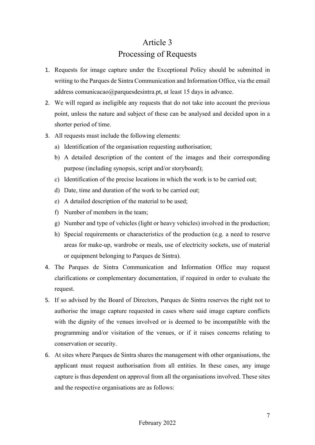# Article 3 Processing of Requests

- 1. Requests for image capture under the Exceptional Policy should be submitted in writing to the Parques de Sintra Communication and Information Office, via the email address comunicacao@parquesdesintra.pt, at least 15 days in advance.
- 2. We will regard as ineligible any requests that do not take into account the previous point, unless the nature and subject of these can be analysed and decided upon in a shorter period of time.
- 3. All requests must include the following elements:
	- a) Identification of the organisation requesting authorisation;
	- b) A detailed description of the content of the images and their corresponding purpose (including synopsis, script and/or storyboard);
	- c) Identification of the precise locations in which the work is to be carried out;
	- d) Date, time and duration of the work to be carried out;
	- e) A detailed description of the material to be used;
	- f) Number of members in the team;
	- g) Number and type of vehicles (light or heavy vehicles) involved in the production;
	- h) Special requirements or characteristics of the production (e.g. a need to reserve areas for make-up, wardrobe or meals, use of electricity sockets, use of material or equipment belonging to Parques de Sintra).
- 4. The Parques de Sintra Communication and Information Office may request clarifications or complementary documentation, if required in order to evaluate the request.
- 5. If so advised by the Board of Directors, Parques de Sintra reserves the right not to authorise the image capture requested in cases where said image capture conflicts with the dignity of the venues involved or is deemed to be incompatible with the programming and/or visitation of the venues, or if it raises concerns relating to conservation or security.
- 6. At sites where Parques de Sintra shares the management with other organisations, the applicant must request authorisation from all entities. In these cases, any image capture is thus dependent on approval from all the organisations involved. These sites and the respective organisations are as follows: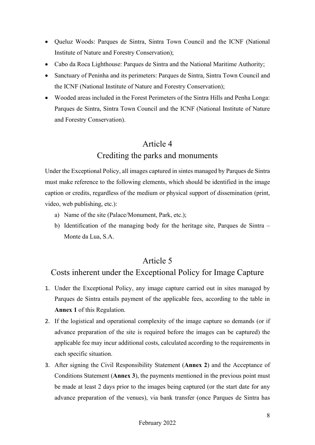- Queluz Woods: Parques de Sintra, Sintra Town Council and the ICNF (National Institute of Nature and Forestry Conservation);
- Cabo da Roca Lighthouse: Parques de Sintra and the National Maritime Authority;
- Sanctuary of Peninha and its perimeters: Parques de Sintra, Sintra Town Council and the ICNF (National Institute of Nature and Forestry Conservation);
- Wooded areas included in the Forest Perimeters of the Sintra Hills and Penha Longa: Parques de Sintra, Sintra Town Council and the ICNF (National Institute of Nature and Forestry Conservation).

## Article 4 Crediting the parks and monuments

Under the Exceptional Policy, all images captured in sintes managed by Parques de Sintra must make reference to the following elements, which should be identified in the image caption or credits, regardless of the medium or physical support of dissemination (print, video, web publishing, etc.):

- a) Name of the site (Palace/Monument, Park, etc.);
- b) Identification of the managing body for the heritage site, Parques de Sintra Monte da Lua, S.A.

## Article 5

## Costs inherent under the Exceptional Policy for Image Capture

- 1. Under the Exceptional Policy, any image capture carried out in sites managed by Parques de Sintra entails payment of the applicable fees, according to the table in Annex 1 of this Regulation.
- 2. If the logistical and operational complexity of the image capture so demands (or if advance preparation of the site is required before the images can be captured) the applicable fee may incur additional costs, calculated according to the requirements in each specific situation.
- 3. After signing the Civil Responsibility Statement (Annex 2) and the Acceptance of Conditions Statement (Annex 3), the payments mentioned in the previous point must be made at least 2 days prior to the images being captured (or the start date for any advance preparation of the venues), via bank transfer (once Parques de Sintra has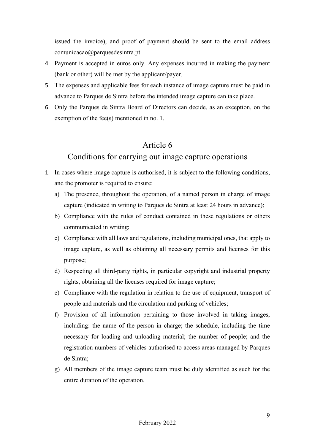issued the invoice), and proof of payment should be sent to the email address comunicacao@parquesdesintra.pt.

- 4. Payment is accepted in euros only. Any expenses incurred in making the payment (bank or other) will be met by the applicant/payer.
- 5. The expenses and applicable fees for each instance of image capture must be paid in advance to Parques de Sintra before the intended image capture can take place.
- 6. Only the Parques de Sintra Board of Directors can decide, as an exception, on the exemption of the fee(s) mentioned in no. 1.

#### Article 6

#### Conditions for carrying out image capture operations

- 1. In cases where image capture is authorised, it is subject to the following conditions, and the promoter is required to ensure:
	- a) The presence, throughout the operation, of a named person in charge of image capture (indicated in writing to Parques de Sintra at least 24 hours in advance);
	- b) Compliance with the rules of conduct contained in these regulations or others communicated in writing;
	- c) Compliance with all laws and regulations, including municipal ones, that apply to image capture, as well as obtaining all necessary permits and licenses for this purpose;
	- d) Respecting all third-party rights, in particular copyright and industrial property rights, obtaining all the licenses required for image capture;
	- e) Compliance with the regulation in relation to the use of equipment, transport of people and materials and the circulation and parking of vehicles;
	- f) Provision of all information pertaining to those involved in taking images, including: the name of the person in charge; the schedule, including the time necessary for loading and unloading material; the number of people; and the registration numbers of vehicles authorised to access areas managed by Parques de Sintra;
	- g) All members of the image capture team must be duly identified as such for the entire duration of the operation.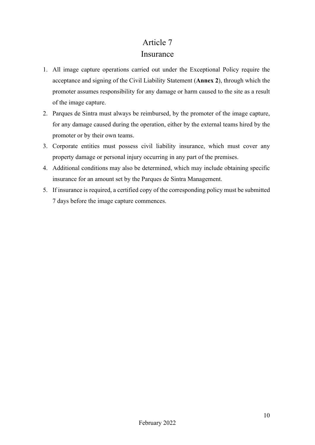#### Article 7

#### Insurance

- 1. All image capture operations carried out under the Exceptional Policy require the acceptance and signing of the Civil Liability Statement (Annex 2), through which the promoter assumes responsibility for any damage or harm caused to the site as a result of the image capture.
- 2. Parques de Sintra must always be reimbursed, by the promoter of the image capture, for any damage caused during the operation, either by the external teams hired by the promoter or by their own teams.
- 3. Corporate entities must possess civil liability insurance, which must cover any property damage or personal injury occurring in any part of the premises.
- 4. Additional conditions may also be determined, which may include obtaining specific insurance for an amount set by the Parques de Sintra Management.
- 5. If insurance is required, a certified copy of the corresponding policy must be submitted 7 days before the image capture commences.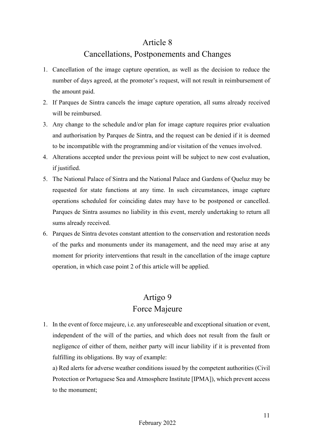#### Article 8

#### Cancellations, Postponements and Changes

- 1. Cancellation of the image capture operation, as well as the decision to reduce the number of days agreed, at the promoter's request, will not result in reimbursement of the amount paid.
- 2. If Parques de Sintra cancels the image capture operation, all sums already received will be reimbursed.
- 3. Any change to the schedule and/or plan for image capture requires prior evaluation and authorisation by Parques de Sintra, and the request can be denied if it is deemed to be incompatible with the programming and/or visitation of the venues involved.
- 4. Alterations accepted under the previous point will be subject to new cost evaluation, if justified.
- 5. The National Palace of Sintra and the National Palace and Gardens of Queluz may be requested for state functions at any time. In such circumstances, image capture operations scheduled for coinciding dates may have to be postponed or cancelled. Parques de Sintra assumes no liability in this event, merely undertaking to return all sums already received.
- 6. Parques de Sintra devotes constant attention to the conservation and restoration needs of the parks and monuments under its management, and the need may arise at any moment for priority interventions that result in the cancellation of the image capture operation, in which case point 2 of this article will be applied.

## Artigo 9 Force Majeure

1. In the event of force majeure, i.e. any unforeseeable and exceptional situation or event, independent of the will of the parties, and which does not result from the fault or negligence of either of them, neither party will incur liability if it is prevented from fulfilling its obligations. By way of example:

a) Red alerts for adverse weather conditions issued by the competent authorities (Civil Protection or Portuguese Sea and Atmosphere Institute [IPMA]), which prevent access to the monument;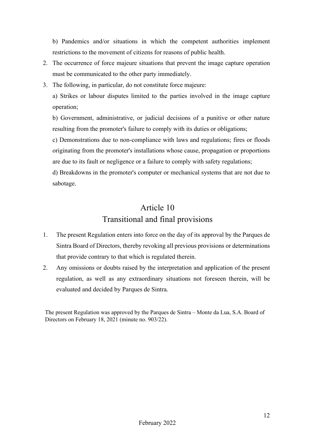b) Pandemics and/or situations in which the competent authorities implement restrictions to the movement of citizens for reasons of public health.

- 2. The occurrence of force majeure situations that prevent the image capture operation must be communicated to the other party immediately.
- 3. The following, in particular, do not constitute force majeure:

a) Strikes or labour disputes limited to the parties involved in the image capture operation;

b) Government, administrative, or judicial decisions of a punitive or other nature resulting from the promoter's failure to comply with its duties or obligations;

c) Demonstrations due to non-compliance with laws and regulations; fires or floods originating from the promoter's installations whose cause, propagation or proportions are due to its fault or negligence or a failure to comply with safety regulations;

d) Breakdowns in the promoter's computer or mechanical systems that are not due to sabotage.

## Article 10 Transitional and final provisions

- 1. The present Regulation enters into force on the day of its approval by the Parques de Sintra Board of Directors, thereby revoking all previous provisions or determinations that provide contrary to that which is regulated therein.
- 2. Any omissions or doubts raised by the interpretation and application of the present regulation, as well as any extraordinary situations not foreseen therein, will be evaluated and decided by Parques de Sintra.

The present Regulation was approved by the Parques de Sintra – Monte da Lua, S.A. Board of Directors on February 18, 2021 (minute no. 903/22).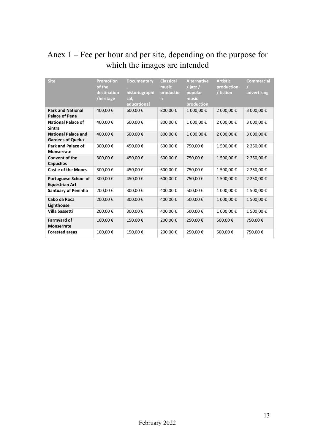# Anex 1 – Fee per hour and per site, depending on the purpose for which the images are intended

| <b>Site</b>                                            | <b>Promotion</b><br>of the<br>destination<br>/heritage | <b>Documentary</b><br>historiographi<br>cal.<br>educational | <b>Classical</b><br>music<br>productio<br>n | <b>Alternative</b><br>/ jazz /<br>popular<br>music<br>production | <b>Artistic</b><br>production<br>/ fiction | <b>Commercial</b><br>advertising |
|--------------------------------------------------------|--------------------------------------------------------|-------------------------------------------------------------|---------------------------------------------|------------------------------------------------------------------|--------------------------------------------|----------------------------------|
| <b>Park and National</b><br>Palace of Pena             | 400,00€                                                | 600,00€                                                     | 800,00€                                     | 1 000,00€                                                        | 2 000,00€                                  | 3 000,00 €                       |
| <b>National Palace of</b><br><b>Sintra</b>             | 400,00€                                                | 600,00€                                                     | 800,00€                                     | 1 000,00€                                                        | 2 000,00€                                  | 3 000,00€                        |
| <b>National Palace and</b><br><b>Gardens of Queluz</b> | 400,00€                                                | 600,00€                                                     | 800,00€                                     | 1 000,00€                                                        | 2 000,00€                                  | 3 000,00 €                       |
| Park and Palace of<br><b>Monserrate</b>                | 300,00€                                                | 450,00€                                                     | 600,00€                                     | 750,00€                                                          | 1 500,00€                                  | 2 250,00€                        |
| Convent of the<br><b>Capuchos</b>                      | 300,00€                                                | 450,00€                                                     | 600,00€                                     | 750,00€                                                          | 1 500,00€                                  | 2 250,00€                        |
| <b>Castle of the Moors</b>                             | 300,00€                                                | 450,00€                                                     | 600,00€                                     | 750,00€                                                          | 1 500,00€                                  | 2 250,00€                        |
| <b>Portuguese School of</b><br><b>Equestrian Art</b>   | 300,00€                                                | 450,00€                                                     | 600,00€                                     | 750,00€                                                          | 1 500,00€                                  | 2 250,00€                        |
| <b>Santuary of Peninha</b>                             | 200,00€                                                | 300,00€                                                     | 400,00€                                     | 500,00€                                                          | 1 000,00€                                  | 1500,00€                         |
| Cabo da Roca<br>Lighthouse                             | 200,00€                                                | 300,00€                                                     | 400,00€                                     | 500,00€                                                          | 1 000,00€                                  | 1 500,00€                        |
| <b>Villa Sassetti</b>                                  | 200,00€                                                | 300,00€                                                     | 400,00€                                     | 500,00€                                                          | 1 000,00€                                  | 1500,00€                         |
| <b>Farmyard of</b><br><b>Monserrate</b>                | 100,00€                                                | 150,00€                                                     | 200,00€                                     | 250,00€                                                          | 500,00€                                    | 750,00€                          |
| <b>Forested areas</b>                                  | 100,00€                                                | 150,00€                                                     | 200,00€                                     | 250,00€                                                          | 500,00€                                    | 750,00€                          |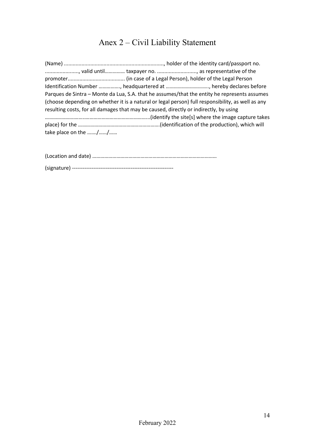# Anex 2 – Civil Liability Statement

| Parques de Sintra - Monte da Lua, S.A. that he assumes/that the entity he represents assumes      |  |
|---------------------------------------------------------------------------------------------------|--|
| (choose depending on whether it is a natural or legal person) full responsibility, as well as any |  |
| resulting costs, for all damages that may be caused, directly or indirectly, by using             |  |
|                                                                                                   |  |
|                                                                                                   |  |
| take place on the //                                                                              |  |

(Location and date) …………………………………………………………………………………

(signature) ---------------------------------------------------------